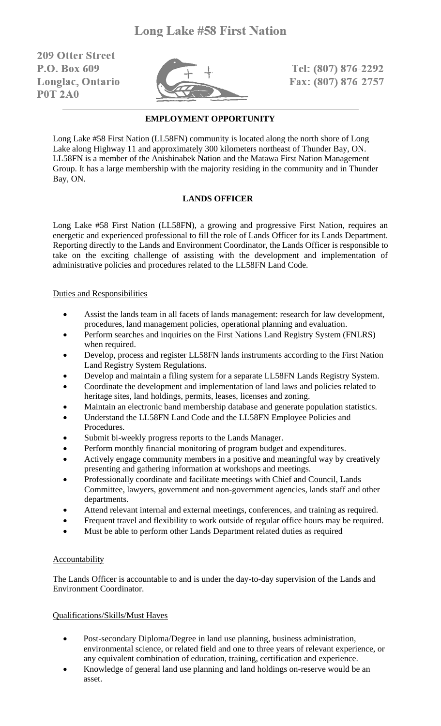**209 Ofter Street** P.O. Box 609 Longlac, Ontario **P0T 2A0** 



Tel: (807) 876-2292 Fax: (807) 876-2757

### **EMPLOYMENT OPPORTUNITY**

Long Lake #58 First Nation (LL58FN) community is located along the north shore of Long Lake along Highway 11 and approximately 300 kilometers northeast of Thunder Bay, ON. LL58FN is a member of the Anishinabek Nation and the Matawa First Nation Management Group. It has a large membership with the majority residing in the community and in Thunder Bay, ON.

## **LANDS OFFICER**

Long Lake #58 First Nation (LL58FN), a growing and progressive First Nation, requires an energetic and experienced professional to fill the role of Lands Officer for its Lands Department. Reporting directly to the Lands and Environment Coordinator, the Lands Officer is responsible to take on the exciting challenge of assisting with the development and implementation of administrative policies and procedures related to the LL58FN Land Code.

#### Duties and Responsibilities

- Assist the lands team in all facets of lands management: research for law development, procedures, land management policies, operational planning and evaluation.
- Perform searches and inquiries on the First Nations Land Registry System (FNLRS) when required.
- Develop, process and register LL58FN lands instruments according to the First Nation Land Registry System Regulations.
- Develop and maintain a filing system for a separate LL58FN Lands Registry System.
- Coordinate the development and implementation of land laws and policies related to heritage sites, land holdings, permits, leases, licenses and zoning.
- Maintain an electronic band membership database and generate population statistics.
- Understand the LL58FN Land Code and the LL58FN Employee Policies and Procedures.
- Submit bi-weekly progress reports to the Lands Manager.
- Perform monthly financial monitoring of program budget and expenditures.
- Actively engage community members in a positive and meaningful way by creatively presenting and gathering information at workshops and meetings.
- Professionally coordinate and facilitate meetings with Chief and Council, Lands Committee, lawyers, government and non-government agencies, lands staff and other departments.
- Attend relevant internal and external meetings, conferences, and training as required.
- Frequent travel and flexibility to work outside of regular office hours may be required.
- Must be able to perform other Lands Department related duties as required

## Accountability

The Lands Officer is accountable to and is under the day-to-day supervision of the Lands and Environment Coordinator.

#### Qualifications/Skills/Must Haves

- Post-secondary Diploma/Degree in land use planning, business administration, environmental science, or related field and one to three years of relevant experience, or any equivalent combination of education, training, certification and experience.
- Knowledge of general land use planning and land holdings on-reserve would be an asset.